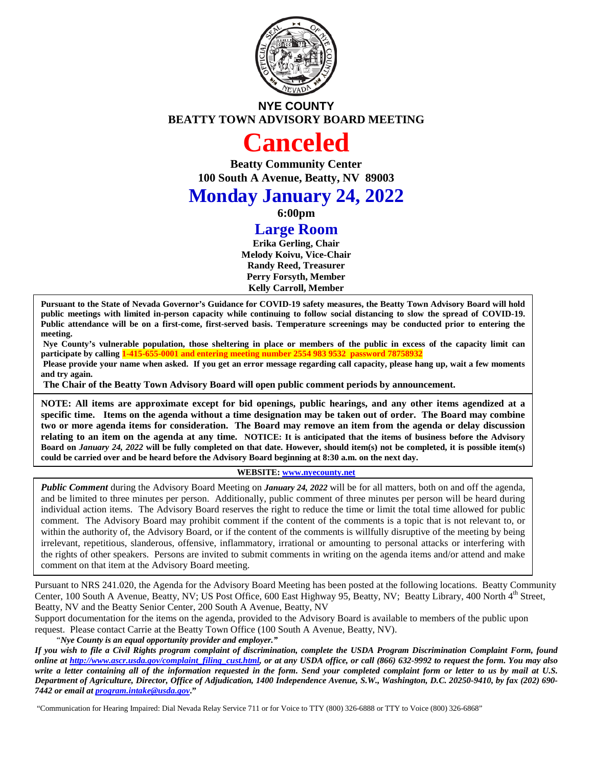

# **NYE COUNTY BEATTY TOWN ADVISORY BOARD MEETING**

# **Canceled**

**Beatty Community Center 100 South A Avenue, Beatty, NV 89003**

# **Monday January 24, 2022**

**6:00pm**

# **Large Room**

**Erika Gerling, Chair Melody Koivu, Vice-Chair Randy Reed, Treasurer Perry Forsyth, Member Kelly Carroll, Member**

**Pursuant to the State of Nevada Governor's Guidance for COVID-19 safety measures, the Beatty Town Advisory Board will hold public meetings with limited in-person capacity while continuing to follow social distancing to slow the spread of COVID-19. Public attendance will be on a first-come, first-served basis. Temperature screenings may be conducted prior to entering the meeting.** 

**Nye County's vulnerable population, those sheltering in place or members of the public in excess of the capacity limit can participate by calling 1-415-655-0001 and entering meeting number 2554 983 9532 password 7875893** 

**Please provide your name when asked. If you get an error message regarding call capacity, please hang up, wait a few moments and try again.** 

**The Chair of the Beatty Town Advisory Board will open public comment periods by announcement.**

**NOTE: All items are approximate except for bid openings, public hearings, and any other items agendized at a specific time. Items on the agenda without a time designation may be taken out of order. The Board may combine two or more agenda items for consideration. The Board may remove an item from the agenda or delay discussion relating to an item on the agenda at any time. NOTICE: It is anticipated that the items of business before the Advisory Board on** *January 24, 2022* **will be fully completed on that date. However, should item(s) not be completed, it is possible item(s) could be carried over and be heard before the Advisory Board beginning at 8:30 a.m. on the next day.**

#### **WEBSITE[: www.nyecounty.net](http://www.nyecounty.net/)**

*Public Comment* during the Advisory Board Meeting on *January 24, 2022* will be for all matters, both on and off the agenda, and be limited to three minutes per person. Additionally, public comment of three minutes per person will be heard during individual action items. The Advisory Board reserves the right to reduce the time or limit the total time allowed for public comment. The Advisory Board may prohibit comment if the content of the comments is a topic that is not relevant to, or within the authority of, the Advisory Board, or if the content of the comments is willfully disruptive of the meeting by being irrelevant, repetitious, slanderous, offensive, inflammatory, irrational or amounting to personal attacks or interfering with the rights of other speakers. Persons are invited to submit comments in writing on the agenda items and/or attend and make comment on that item at the Advisory Board meeting.

Pursuant to NRS 241.020, the Agenda for the Advisory Board Meeting has been posted at the following locations. Beatty Community Center, 100 South A Avenue, Beatty, NV; US Post Office, 600 East Highway 95, Beatty, NV; Beatty Library, 400 North 4<sup>th</sup> Street, Beatty, NV and the Beatty Senior Center, 200 South A Avenue, Beatty, NV

Support documentation for the items on the agenda, provided to the Advisory Board is available to members of the public upon request. Please contact Carrie at the Beatty Town Office (100 South A Avenue, Beatty, NV).

*"Nye County is an equal opportunity provider and employer."*

*If you wish to file a Civil Rights program complaint of discrimination, complete the USDA Program Discrimination Complaint Form, found online at [http://www.ascr.usda.gov/complaint\\_filing\\_cust.html,](http://www.ascr.usda.gov/complaint_filing_cust.html) or at any USDA office, or call (866) 632-9992 to request the form. You may also write a letter containing all of the information requested in the form. Send your completed complaint form or letter to us by mail at U.S. Department of Agriculture, Director, Office of Adjudication, 1400 Independence Avenue, S.W., Washington, D.C. 20250-9410, by fax (202) 690- 7442 or email a[t program.intake@usda.gov](mailto:program.intake@usda.gov)***."**

"Communication for Hearing Impaired: Dial Nevada Relay Service 711 or for Voice to TTY (800) 326-6888 or TTY to Voice (800) 326-6868"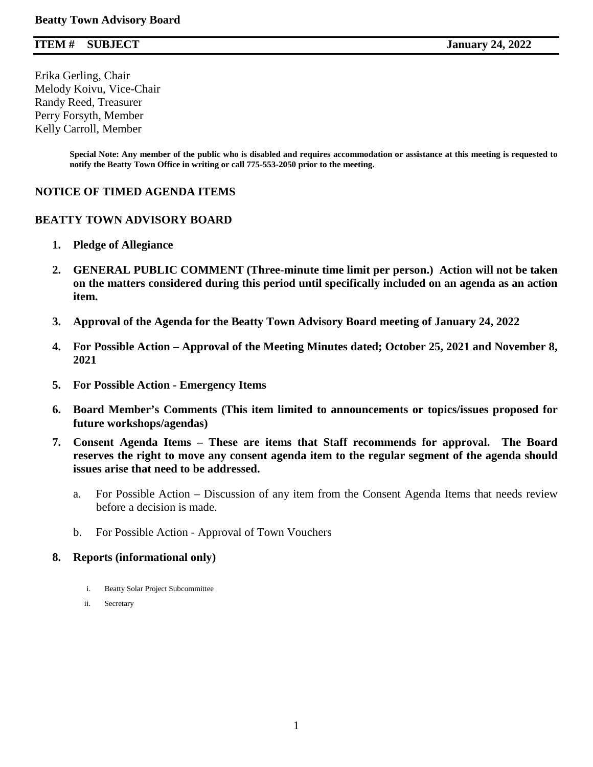### **ITEM # SUBJECT January 24, 2022**

Erika Gerling, Chair Melody Koivu, Vice-Chair Randy Reed, Treasurer Perry Forsyth, Member Kelly Carroll, Member

> **Special Note: Any member of the public who is disabled and requires accommodation or assistance at this meeting is requested to notify the Beatty Town Office in writing or call 775-553-2050 prior to the meeting.**

#### **NOTICE OF TIMED AGENDA ITEMS**

#### **BEATTY TOWN ADVISORY BOARD**

- **1. Pledge of Allegiance**
- **2. GENERAL PUBLIC COMMENT (Three-minute time limit per person.) Action will not be taken on the matters considered during this period until specifically included on an agenda as an action item.**
- **3. Approval of the Agenda for the Beatty Town Advisory Board meeting of January 24, 2022**
- **4. For Possible Action – Approval of the Meeting Minutes dated; October 25, 2021 and November 8, 2021**
- **5. For Possible Action - Emergency Items**
- **6. Board Member's Comments (This item limited to announcements or topics/issues proposed for future workshops/agendas)**
- **7. Consent Agenda Items – These are items that Staff recommends for approval. The Board reserves the right to move any consent agenda item to the regular segment of the agenda should issues arise that need to be addressed.** 
	- a. For Possible Action Discussion of any item from the Consent Agenda Items that needs review before a decision is made.
	- b. For Possible Action Approval of Town Vouchers

#### **8. Reports (informational only)**

- i. Beatty Solar Project Subcommittee
- ii. Secretary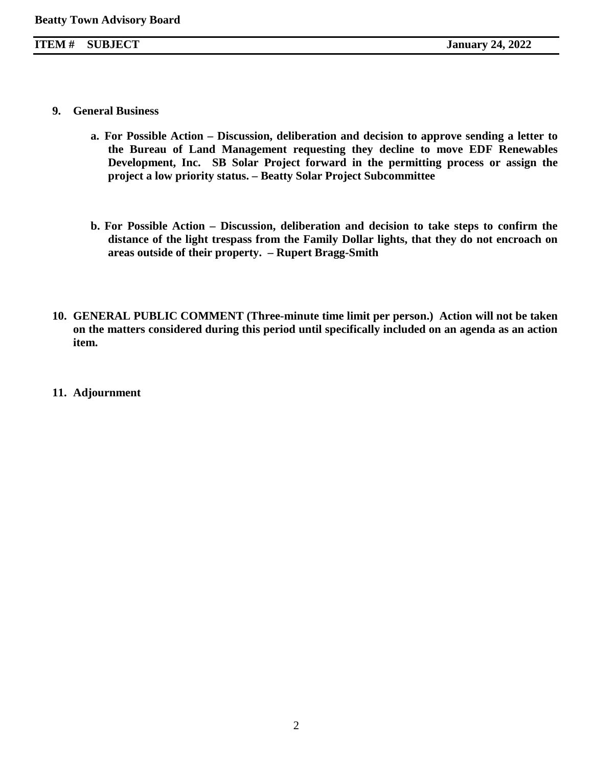- **9. General Business**
	- **a. For Possible Action – Discussion, deliberation and decision to approve sending a letter to the Bureau of Land Management requesting they decline to move EDF Renewables Development, Inc. SB Solar Project forward in the permitting process or assign the project a low priority status. – Beatty Solar Project Subcommittee**
	- **b. For Possible Action – Discussion, deliberation and decision to take steps to confirm the distance of the light trespass from the Family Dollar lights, that they do not encroach on areas outside of their property. – Rupert Bragg-Smith**
- **10. GENERAL PUBLIC COMMENT (Three-minute time limit per person.) Action will not be taken on the matters considered during this period until specifically included on an agenda as an action item.**
- **11. Adjournment**